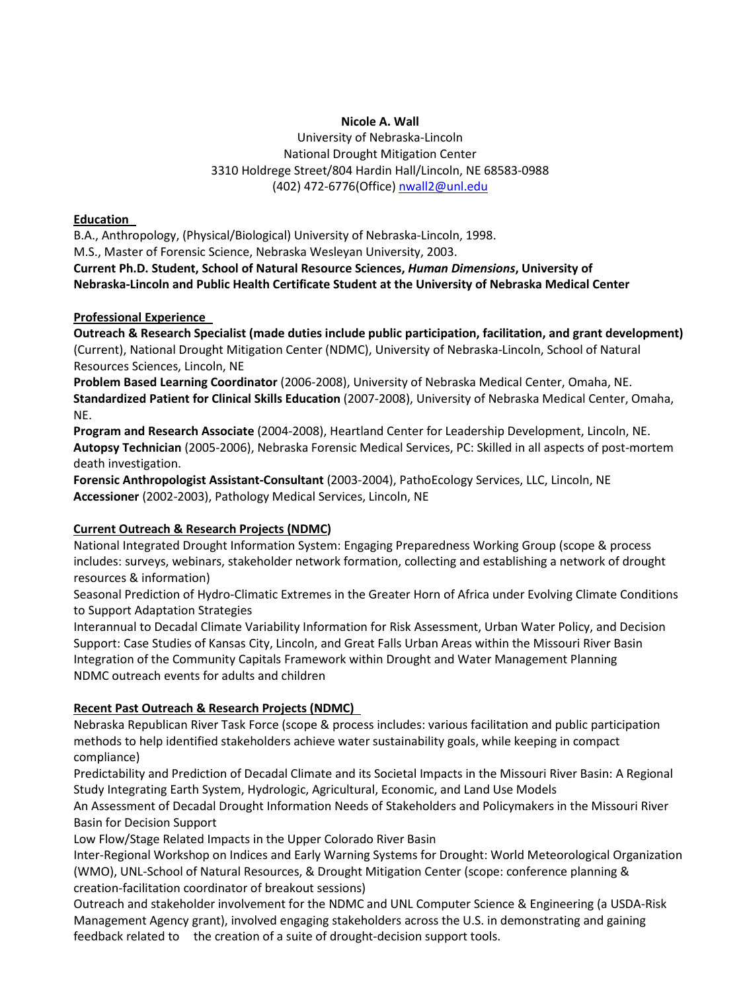### **Nicole A. Wall**

University of Nebraska-Lincoln National Drought Mitigation Center 3310 Holdrege Street/804 Hardin Hall/Lincoln, NE 68583-0988 (402) 472-6776(Office) [nwall2@unl.edu](mailto:nwall2@unl.edu)

#### **Education**

B.A., Anthropology, (Physical/Biological) University of Nebraska-Lincoln, 1998.

M.S., Master of Forensic Science, Nebraska Wesleyan University, 2003.

**Current Ph.D. Student, School of Natural Resource Sciences,** *Human Dimensions***, University of Nebraska-Lincoln and Public Health Certificate Student at the University of Nebraska Medical Center**

## **Professional Experience**

**Outreach & Research Specialist (made duties include public participation, facilitation, and grant development)**  (Current), National Drought Mitigation Center (NDMC), University of Nebraska-Lincoln, School of Natural Resources Sciences, Lincoln, NE

**Problem Based Learning Coordinator** (2006-2008), University of Nebraska Medical Center, Omaha, NE. **Standardized Patient for Clinical Skills Education** (2007-2008), University of Nebraska Medical Center, Omaha, NE.

**Program and Research Associate** (2004-2008), Heartland Center for Leadership Development, Lincoln, NE. **Autopsy Technician** (2005-2006), Nebraska Forensic Medical Services, PC: Skilled in all aspects of post-mortem death investigation.

**Forensic Anthropologist Assistant-Consultant** (2003-2004), PathoEcology Services, LLC, Lincoln, NE **Accessioner** (2002-2003), Pathology Medical Services, Lincoln, NE

# **Current Outreach & Research Projects (NDMC)**

National Integrated Drought Information System: Engaging Preparedness Working Group (scope & process includes: surveys, webinars, stakeholder network formation, collecting and establishing a network of drought resources & information)

Seasonal Prediction of Hydro-Climatic Extremes in the Greater Horn of Africa under Evolving Climate Conditions to Support Adaptation Strategies

Interannual to Decadal Climate Variability Information for Risk Assessment, Urban Water Policy, and Decision Support: Case Studies of Kansas City, Lincoln, and Great Falls Urban Areas within the Missouri River Basin Integration of the Community Capitals Framework within Drought and Water Management Planning NDMC outreach events for adults and children

# **Recent Past Outreach & Research Projects (NDMC)**

Nebraska Republican River Task Force (scope & process includes: various facilitation and public participation methods to help identified stakeholders achieve water sustainability goals, while keeping in compact compliance)

Predictability and Prediction of Decadal Climate and its Societal Impacts in the Missouri River Basin: A Regional Study Integrating Earth System, Hydrologic, Agricultural, Economic, and Land Use Models

An Assessment of Decadal Drought Information Needs of Stakeholders and Policymakers in the Missouri River Basin for Decision Support

Low Flow/Stage Related Impacts in the Upper Colorado River Basin

Inter-Regional Workshop on Indices and Early Warning Systems for Drought: World Meteorological Organization (WMO), UNL-School of Natural Resources, & Drought Mitigation Center (scope: conference planning & creation-facilitation coordinator of breakout sessions)

Outreach and stakeholder involvement for the NDMC and UNL Computer Science & Engineering (a USDA-Risk Management Agency grant), involved engaging stakeholders across the U.S. in demonstrating and gaining feedback related to the creation of a suite of drought-decision support tools.